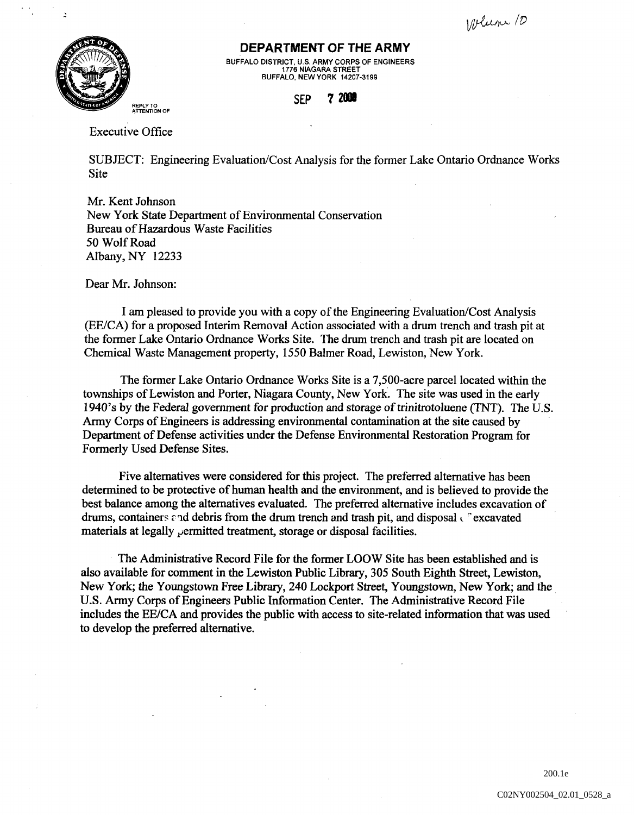Welcom 10



## **DEPARTMENT OF THE ARMY**

BUFFALO DISTRICT, U.S. ARMY CORPS OF ENGINEERS 1776 NIAGARA STREET BUFFALO, NEW YORK 14207-3199

## **SEP 7 2001**

Executive Office

SUBJECT: Engineering Evaluation/Cost Analysis for the former Lake Ontario Ordnance Works **Site** 

Mr. Kent Johnson New York State Department of Environmental Conservation Bureau of Hazardous Waste Facilities 50 Wolf Road Albany, NY 12233

Dear Mr. Johnson:

I am pleased to provide you with a copy of the Engineering Evaluation/Cost Analysis (EE/CA) for a proposed Interim Removal Action associated with a drum trench and trash pit at the former Lake Ontario Ordnance Works Site. The drum trench and trash pit are located on Chemical Waste Management property, 1550 Balmer Road, Lewiston, New York.

The former Lake Ontario Ordnance Works Site is a 7,500-acre parcel located within the townships of Lewiston and Porter, Niagara County, New York. The site was used in the early 1940's by the Federal government for production and storage of trinitrotoluene (TNT). The U.S. Army Corps of Engineers is addressing environmental contamination at the site caused by Department of Defense activities under the Defense Environmental Restoration Program for Fonnerly Used Defense Sites.

Five alternatives were considered for this project. The preferred alternative has been detennined to be protective of human health and the environment, and is believed to provide the best balance among the alternatives evaluated. The preferred alternative includes excavation of drums, containers and debris from the drum trench and trash pit, and disposal  $\epsilon$  excavated materials at legally  $\rho$  ermitted treatment, storage or disposal facilities.

The Administrative Record File for the former LOOW Site has been established and is also available for comment in the Lewiston Public Library, 305 South Eighth Street, Lewiston, New York; the Youngstown Free Library, 240 Lockport Street, Youngstown, New York; and the U.S. Army Corps of Engineers Public Information Center. The Administrative Record File includes the EE/CA and provides the public with access to site-related infonnation that was used to develop the preferred alternative.